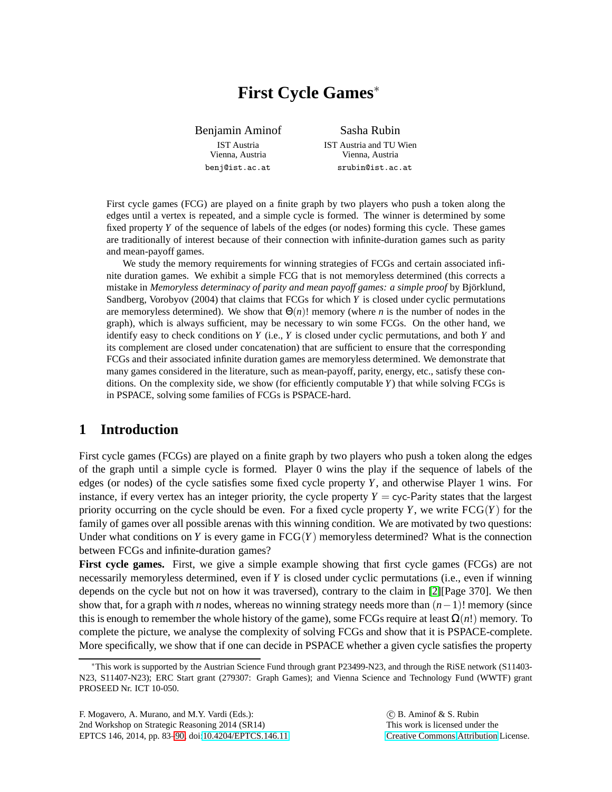# **First Cycle Games**<sup>∗</sup>

Benjamin Aminof IST Austria Vienna, Austria benj@ist.ac.at

Sasha Rubin IST Austria and TU Wien Vienna, Austria srubin@ist.ac.at

First cycle games (FCG) are played on a finite graph by two players who push a token along the edges until a vertex is repeated, and a simple cycle is formed. The winner is determined by some fixed property *Y* of the sequence of labels of the edges (or nodes) forming this cycle. These games are traditionally of interest because of their connection with infinite-duration games such as parity and mean-payoff games.

We study the memory requirements for winning strategies of FCGs and certain associated infinite duration games. We exhibit a simple FCG that is not memoryless determined (this corrects a mistake in *Memoryless determinacy of parity and mean payoff games: a simple proof* by Björklund, Sandberg, Vorobyov (2004) that claims that FCGs for which *Y* is closed under cyclic permutations are memoryless determined). We show that Θ(*n*)! memory (where *n* is the number of nodes in the graph), which is always sufficient, may be necessary to win some FCGs. On the other hand, we identify easy to check conditions on *Y* (i.e., *Y* is closed under cyclic permutations, and both *Y* and its complement are closed under concatenation) that are sufficient to ensure that the corresponding FCGs and their associated infinite duration games are memoryless determined. We demonstrate that many games considered in the literature, such as mean-payoff, parity, energy, etc., satisfy these conditions. On the complexity side, we show (for efficiently computable *Y*) that while solving FCGs is in PSPACE, solving some families of FCGs is PSPACE-hard.

# **1 Introduction**

First cycle games (FCGs) are played on a finite graph by two players who push a token along the edges of the graph until a simple cycle is formed. Player 0 wins the play if the sequence of labels of the edges (or nodes) of the cycle satisfies some fixed cycle property *Y*, and otherwise Player 1 wins. For instance, if every vertex has an integer priority, the cycle property  $Y = cyc$ -Parity states that the largest priority occurring on the cycle should be even. For a fixed cycle property  $Y$ , we write  $FCG(Y)$  for the family of games over all possible arenas with this winning condition. We are motivated by two questions: Under what conditions on *Y* is every game in  $FCG(Y)$  memoryless determined? What is the connection between FCGs and infinite-duration games?

**First cycle games.** First, we give a simple example showing that first cycle games (FCGs) are not necessarily memoryless determined, even if *Y* is closed under cyclic permutations (i.e., even if winning depends on the cycle but not on how it was traversed), contrary to the claim in [\[2\]](#page-7-1)[Page 370]. We then show that, for a graph with *n* nodes, whereas no winning strategy needs more than (*n*−1)! memory (since this is enough to remember the whole history of the game), some FCGs require at least  $\Omega(n!)$  memory. To complete the picture, we analyse the complexity of solving FCGs and show that it is PSPACE-complete. More specifically, we show that if one can decide in PSPACE whether a given cycle satisfies the property

<sup>∗</sup>This work is supported by the Austrian Science Fund through grant P23499-N23, and through the RiSE network (S11403- N23, S11407-N23); ERC Start grant (279307: Graph Games); and Vienna Science and Technology Fund (WWTF) grant PROSEED Nr. ICT 10-050.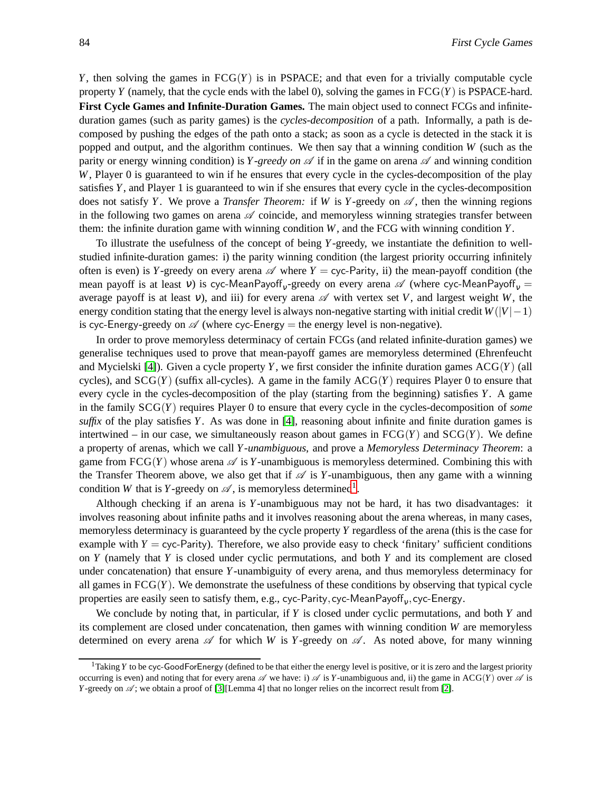*Y*, then solving the games in  $FCG(Y)$  is in PSPACE; and that even for a trivially computable cycle property *Y* (namely, that the cycle ends with the label 0), solving the games in  $FCG(Y)$  is PSPACE-hard. **First Cycle Games and Infinite-Duration Games.** The main object used to connect FCGs and infiniteduration games (such as parity games) is the *cycles-decomposition* of a path. Informally, a path is decomposed by pushing the edges of the path onto a stack; as soon as a cycle is detected in the stack it is popped and output, and the algorithm continues. We then say that a winning condition *W* (such as the parity or energy winning condition) is *Y-greedy on*  $\mathscr A$  if in the game on arena  $\mathscr A$  and winning condition *W*, Player 0 is guaranteed to win if he ensures that every cycle in the cycles-decomposition of the play satisfies *Y*, and Player 1 is guaranteed to win if she ensures that every cycle in the cycles-decomposition does not satisfy *Y*. We prove a *Transfer Theorem:* if *W* is *Y*-greedy on  $\mathscr{A}$ , then the winning regions in the following two games on arena  $\mathscr A$  coincide, and memoryless winning strategies transfer between them: the infinite duration game with winning condition *W*, and the FCG with winning condition *Y*.

To illustrate the usefulness of the concept of being *Y*-greedy, we instantiate the definition to wellstudied infinite-duration games: i) the parity winning condition (the largest priority occurring infinitely often is even) is *Y*-greedy on every arena  $\mathscr A$  where *Y* = cyc-Parity, ii) the mean-payoff condition (the mean payoff is at least v) is cyc-MeanPayoff<sub>v</sub>-greedy on every arena  $\mathscr A$  (where cyc-MeanPayoff<sub>v</sub> = average payoff is at least  $v$ ), and iii) for every arena  $\mathscr A$  with vertex set V, and largest weight W, the energy condition stating that the energy level is always non-negative starting with initial credit *W*(|*V*|−1) is cyc-Energy-greedy on  $\mathscr A$  (where cyc-Energy = the energy level is non-negative).

In order to prove memoryless determinacy of certain FCGs (and related infinite-duration games) we generalise techniques used to prove that mean-payoff games are memoryless determined (Ehrenfeucht and Mycielski [\[4\]](#page-7-2)). Given a cycle property *Y*, we first consider the infinite duration games ACG(*Y*) (all cycles), and  $SCG(Y)$  (suffix all-cycles). A game in the family  $ACG(Y)$  requires Player 0 to ensure that every cycle in the cycles-decomposition of the play (starting from the beginning) satisfies *Y*. A game in the family SCG(*Y*) requires Player 0 to ensure that every cycle in the cycles-decomposition of *some suffix* of the play satisfies *Y*. As was done in [\[4\]](#page-7-2), reasoning about infinite and finite duration games is intertwined – in our case, we simultaneously reason about games in  $FCG(Y)$  and  $SCG(Y)$ . We define a property of arenas, which we call *Y -unambiguous*, and prove a *Memoryless Determinacy Theorem*: a game from  $FGG(Y)$  whose arena  $\mathscr A$  is *Y*-unambiguous is memoryless determined. Combining this with the Transfer Theorem above, we also get that if  $\mathscr A$  is *Y*-unambiguous, then any game with a winning condition *W* that is *Y*-greedy on  $\mathscr A$ , is memoryless determined<sup>[1](#page-1-0)</sup>.

Although checking if an arena is *Y*-unambiguous may not be hard, it has two disadvantages: it involves reasoning about infinite paths and it involves reasoning about the arena whereas, in many cases, memoryless determinacy is guaranteed by the cycle property *Y* regardless of the arena (this is the case for example with  $Y = \text{cyc-Parity}$ . Therefore, we also provide easy to check 'finitary' sufficient conditions on *Y* (namely that *Y* is closed under cyclic permutations, and both *Y* and its complement are closed under concatenation) that ensure *Y*-unambiguity of every arena, and thus memoryless determinacy for all games in  $FCG(Y)$ . We demonstrate the usefulness of these conditions by observing that typical cycle properties are easily seen to satisfy them, e.g., cyc-Parity, cyc-MeanPayoff $_{\rm v}$ , cyc-Energy.

We conclude by noting that, in particular, if *Y* is closed under cyclic permutations, and both *Y* and its complement are closed under concatenation, then games with winning condition *W* are memoryless determined on every arena  $\mathscr A$  for which *W* is *Y*-greedy on  $\mathscr A$ . As noted above, for many winning

<span id="page-1-0"></span><sup>&</sup>lt;sup>1</sup>Taking *Y* to be cyc-GoodForEnergy (defined to be that either the energy level is positive, or it is zero and the largest priority occurring is even) and noting that for every arena  $\mathscr A$  we have: i)  $\mathscr A$  is *Y*-unambiguous and, ii) the game in ACG(*Y*) over  $\mathscr A$  is *Y*-greedy on  $\mathscr A$ ; we obtain a proof of [\[3\]](#page-7-3)[Lemma 4] that no longer relies on the incorrect result from [\[2\]](#page-7-1).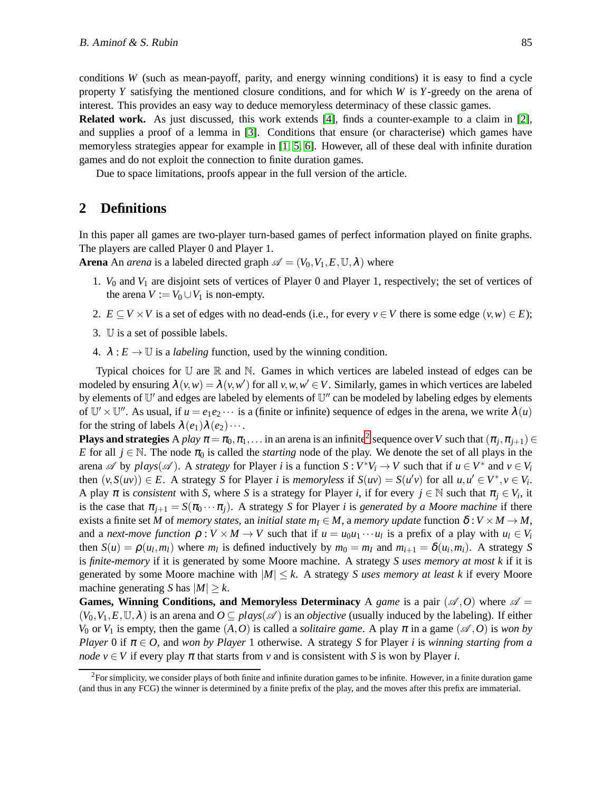conditions *W* (such as mean-payoff, parity, and energy winning conditions) it is easy to find a cycle property *Y* satisfying the mentioned closure conditions, and for which *W* is *Y*-greedy on the arena of interest. This provides an easy way to deduce memoryless determinacy of these classic games.

**Related work.** As just discussed, this work extends [\[4\]](#page-7-2), finds a counter-example to a claim in [\[2\]](#page-7-1), and supplies a proof of a lemma in [\[3\]](#page-7-3). Conditions that ensure (or characterise) which games have memoryless strategies appear for example in [\[1,](#page-7-4) [5,](#page-7-5) [6\]](#page-7-6). However, all of these deal with infinite duration games and do not exploit the connection to finite duration games.

Due to space limitations, proofs appear in the full version of the article.

## **2 Definitions**

In this paper all games are two-player turn-based games of perfect information played on finite graphs. The players are called Player 0 and Player 1.

**Arena** An *arena* is a labeled directed graph  $\mathscr{A} = (V_0, V_1, E, \mathbb{U}, \lambda)$  where

- 1. *V*<sup>0</sup> and *V*<sup>1</sup> are disjoint sets of vertices of Player 0 and Player 1, respectively; the set of vertices of the arena  $V := V_0 \cup V_1$  is non-empty.
- 2.  $E \subseteq V \times V$  is a set of edges with no dead-ends (i.e., for every  $v \in V$  there is some edge  $(v, w) \in E$ );
- 3. U is a set of possible labels.
- 4.  $\lambda : E \to \mathbb{U}$  is a *labeling* function, used by the winning condition.

Typical choices for  $\mathbb U$  are  $\mathbb R$  and  $\mathbb N$ . Games in which vertices are labeled instead of edges can be modeled by ensuring  $\lambda(v, w) = \lambda(v, w')$  for all  $v, w, w' \in V$ . Similarly, games in which vertices are labeled by elements of U' and edges are labeled by elements of U" can be modeled by labeling edges by elements of  $\mathbb{U}' \times \mathbb{U}''$ . As usual, if  $u = e_1 e_2 \cdots$  is a (finite or infinite) sequence of edges in the arena, we write  $\lambda(u)$ for the string of labels  $\lambda(e_1)\lambda(e_2)\cdots$ .

**Plays and strategies** A *play*  $\pi = \pi_0, \pi_1, \ldots$  in an arena is an infinite<sup>[2](#page-2-0)</sup> sequence over *V* such that  $(\pi_j, \pi_{j+1}) \in$ *E* for all  $j \in \mathbb{N}$ . The node  $\pi_0$  is called the *starting* node of the play. We denote the set of all plays in the arena  $\mathscr A$  by  $plays(\mathscr A)$ . A *strategy* for Player *i* is a function  $S: V^*V_i \to V$  such that if  $u \in V^*$  and  $v \in V_i$ then  $(v, S(uv)) \in E$ . A strategy S for Player *i* is *memoryless* if  $S(uv) = S(u'v)$  for all  $u, u' \in V^*$ ,  $v \in V_i$ . A play  $\pi$  is *consistent* with *S*, where *S* is a strategy for Player *i*, if for every  $j \in \mathbb{N}$  such that  $\pi_j \in V_i$ , it is the case that  $\pi_{i+1} = S(\pi_0 \cdots \pi_i)$ . A strategy *S* for Player *i* is *generated by a Moore machine* if there exists a finite set *M* of *memory states*, an *initial state*  $m_I \in M$ , a *memory update* function  $\delta : V \times M \to M$ , and a *next-move function*  $\rho: V \times M \rightarrow V$  such that if  $u = u_0u_1 \cdots u_l$  is a prefix of a play with  $u_l \in V_i$ then  $S(u) = \rho(u_l, m_l)$  where  $m_l$  is defined inductively by  $m_0 = m_l$  and  $m_{i+1} = \delta(u_i, m_i)$ . A strategy S is *finite-memory* if it is generated by some Moore machine. A strategy *S uses memory at most k* if it is generated by some Moore machine with  $|M| \leq k$ . A strategy *S* uses memory at least k if every Moore machine generating *S* has  $|M| \ge k$ .

**Games, Winning Conditions, and Memoryless Determinacy** A *game* is a pair  $(\mathscr{A}, O)$  where  $\mathscr{A} =$  $(V_0, V_1, E, \mathbb{U}, \lambda)$  is an arena and  $O \subseteq plays(\mathscr{A})$  is an *objective* (usually induced by the labeling). If either *V*<sub>0</sub> or *V*<sub>1</sub> is empty, then the game  $(A, O)$  is called a *solitaire game*. A play  $\pi$  in a game  $(A, O)$  is *won by Player* 0 if  $\pi \in O$ , and *won by Player* 1 otherwise. A strategy *S* for Player *i* is *winning starting from a node*  $v \in V$  if every play  $\pi$  that starts from  $v$  and is consistent with *S* is won by Player *i*.

<span id="page-2-0"></span> ${}^{2}$ For simplicity, we consider plays of both finite and infinite duration games to be infinite. However, in a finite duration game (and thus in any FCG) the winner is determined by a finite prefix of the play, and the moves after this prefix are immaterial.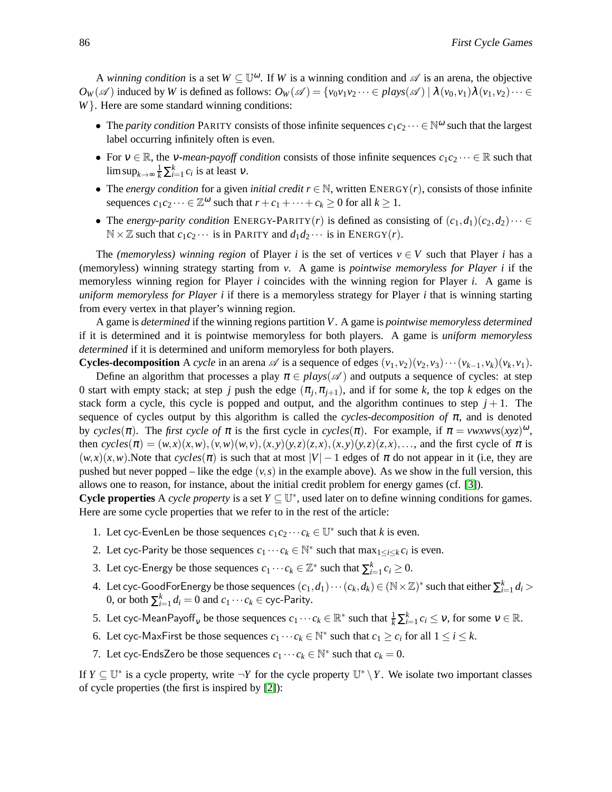A *winning condition* is a set  $W \subseteq \mathbb{U}^{\omega}$ . If W is a winning condition and  $\mathscr A$  is an arena, the objective  $O_W(\mathscr{A})$  induced by *W* is defined as follows:  $O_W(\mathscr{A}) = \{v_0v_1v_2\cdots\in \text{plays}(\mathscr{A}) \mid \lambda(v_0,v_1)\lambda(v_1,v_2)\cdots\in \text{phys}(\mathscr{A})\}$ *W*}. Here are some standard winning conditions:

- The *parity condition* PARITY consists of those infinite sequences  $c_1c_2\cdots \in \mathbb{N}^{\omega}$  such that the largest label occurring infinitely often is even.
- For  $v \in \mathbb{R}$ , the *v*-mean-payoff condition consists of those infinite sequences  $c_1c_2 \cdots \in \mathbb{R}$  such that  $\limsup_{k \to \infty} \frac{1}{k} \sum_{i=1}^{k} c_i$  is at least  $v$ .
- The *energy condition* for a given *initial credit*  $r \in \mathbb{N}$ , written ENERGY(*r*), consists of those infinite sequences  $c_1c_2 \cdots \in \mathbb{Z}^{\omega}$  such that  $r + c_1 + \cdots + c_k \geq 0$  for all  $k \geq 1$ .
- The *energy-parity condition* ENERGY-PARITY(*r*) is defined as consisting of  $(c_1, d_1)(c_2, d_2) \cdots \in$  $\mathbb{N} \times \mathbb{Z}$  such that  $c_1 c_2 \cdots$  is in PARITY and  $d_1 d_2 \cdots$  is in ENERGY(*r*).

The *(memoryless) winning region* of Player *i* is the set of vertices  $v \in V$  such that Player *i* has a (memoryless) winning strategy starting from *v*. A game is *pointwise memoryless for Player i* if the memoryless winning region for Player *i* coincides with the winning region for Player *i*. A game is *uniform memoryless for Player i* if there is a memoryless strategy for Player *i* that is winning starting from every vertex in that player's winning region.

A game is *determined* if the winning regions partition *V*. A game is *pointwise memoryless determined* if it is determined and it is pointwise memoryless for both players. A game is *uniform memoryless determined* if it is determined and uniform memoryless for both players.

**Cycles-decomposition** A *cycle* in an arena  $\mathscr A$  is a sequence of edges  $(v_1, v_2)(v_2, v_3)\cdots(v_{k-1}, v_k)(v_k, v_1)$ .

Define an algorithm that processes a play  $\pi \in \text{plays}(\mathscr{A})$  and outputs a sequence of cycles: at step 0 start with empty stack; at step *j* push the edge  $(\pi_j, \pi_{j+1})$ , and if for some *k*, the top *k* edges on the stack form a cycle, this cycle is popped and output, and the algorithm continues to step  $j + 1$ . The sequence of cycles output by this algorithm is called the *cycles-decomposition of*  $\pi$ , and is denoted by *cycles*( $\pi$ ). The *first cycle of*  $\pi$  is the first cycle in *cycles*( $\pi$ ). For example, if  $\pi = \nu \nu x \nu \nu s(xyz)^{\omega}$ , then  $cycles(\pi) = (w,x)(x,w), (v,w)(w,v), (x,y)(y,z)(z,x), (x,y)(y,z)(z,x), \ldots$ , and the first cycle of  $\pi$  is  $(w, x)(x, w)$ . Note that *cycles*( $\pi$ ) is such that at most  $|V| - 1$  edges of  $\pi$  do not appear in it (i.e, they are pushed but never popped – like the edge  $(v, s)$  in the example above). As we show in the full version, this allows one to reason, for instance, about the initial credit problem for energy games (cf. [\[3\]](#page-7-3)).

**Cycle properties** A *cycle property* is a set  $Y \subseteq \mathbb{U}^*$ , used later on to define winning conditions for games. Here are some cycle properties that we refer to in the rest of the article:

- 1. Let cyc-EvenLen be those sequences  $c_1c_2 \cdots c_k \in \mathbb{U}^*$  such that *k* is even.
- 2. Let cyc-Parity be those sequences  $c_1 \cdots c_k \in \mathbb{N}^*$  such that  $\max_{1 \le i \le k} c_i$  is even.
- 3. Let cyc-Energy be those sequences  $c_1 \cdots c_k \in \mathbb{Z}^*$  such that  $\sum_{i=1}^k c_i \geq 0$ .
- 4. Let cyc-GoodForEnergy be those sequences  $(c_1, d_1) \cdots (c_k, d_k) \in (\mathbb{N} \times \mathbb{Z})^*$  such that either  $\sum_{i=1}^k d_i >$ 0, or both  $\sum_{i=1}^{k} d_i = 0$  and  $c_1 \cdots c_k \in$  cyc-Parity.
- 5. Let cyc-MeanPayoff<sub>v</sub> be those sequences  $c_1 \cdots c_k \in \mathbb{R}^*$  such that  $\frac{1}{k} \sum_{i=1}^k c_i \leq v$ , for some  $v \in \mathbb{R}$ .
- 6. Let cyc-MaxFirst be those sequences  $c_1 \cdots c_k \in \mathbb{N}^*$  such that  $c_1 \geq c_i$  for all  $1 \leq i \leq k$ .
- 7. Let cyc-EndsZero be those sequences  $c_1 \cdots c_k \in \mathbb{N}^*$  such that  $c_k = 0$ .

If  $Y \subseteq \mathbb{U}^*$  is a cycle property, write  $\neg Y$  for the cycle property  $\mathbb{U}^* \setminus Y$ . We isolate two important classes of cycle properties (the first is inspired by [\[2\]](#page-7-1)):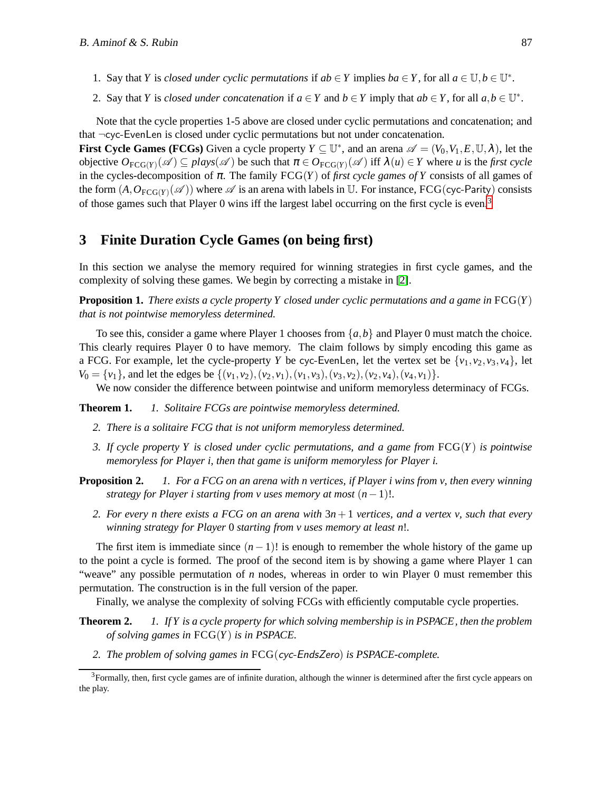- 1. Say that *Y* is *closed under cyclic permutations* if  $ab \in Y$  implies  $ba \in Y$ , for all  $a \in \mathbb{U}, b \in \mathbb{U}^*$ .
- 2. Say that *Y* is *closed under concatenation* if  $a \in Y$  and  $b \in Y$  imply that  $ab \in Y$ , for all  $a, b \in \mathbb{U}^*$ .

Note that the cycle properties 1-5 above are closed under cyclic permutations and concatenation; and that ¬cyc-EvenLen is closed under cyclic permutations but not under concatenation.

**First Cycle Games (FCGs)** Given a cycle property  $Y \subseteq \mathbb{U}^*$ , and an arena  $\mathscr{A} = (V_0, V_1, E, \mathbb{U}, \lambda)$ , let the objective  $O_{\text{FCG}(Y)}(\mathscr{A}) \subseteq \text{plays}(\mathscr{A})$  be such that  $\pi \in O_{\text{FCG}(Y)}(\mathscr{A})$  iff  $\lambda(u) \in Y$  where *u* is the *first cycle* in the cycles-decomposition of  $\pi$ . The family  $FCG(Y)$  of *first cycle games of Y* consists of all games of the form  $(A, O_{FCG(Y)}(\mathscr{A}))$  where  $\mathscr A$  is an arena with labels in U. For instance, FCG(cyc-Parity) consists of those games such that Player 0 wins iff the largest label occurring on the first cycle is even.<sup>[3](#page-4-0)</sup>

## **3 Finite Duration Cycle Games (on being first)**

In this section we analyse the memory required for winning strategies in first cycle games, and the complexity of solving these games. We begin by correcting a mistake in [\[2\]](#page-7-1).

**Proposition 1.** *There exists a cycle property Y closed under cyclic permutations and a game in* FCG(*Y*) *that is not pointwise memoryless determined.*

To see this, consider a game where Player 1 chooses from  $\{a, b\}$  and Player 0 must match the choice. This clearly requires Player 0 to have memory. The claim follows by simply encoding this game as a FCG. For example, let the cycle-property *Y* be cyc-EvenLen, let the vertex set be  $\{v_1, v_2, v_3, v_4\}$ , let  $V_0 = \{v_1\}$ , and let the edges be  $\{(v_1, v_2), (v_2, v_1), (v_1, v_3), (v_3, v_2), (v_2, v_4), (v_4, v_1)\}.$ 

<span id="page-4-1"></span>We now consider the difference between pointwise and uniform memoryless determinacy of FCGs.

**Theorem 1.** *1. Solitaire FCGs are pointwise memoryless determined.*

- <span id="page-4-2"></span>*2. There is a solitaire FCG that is not uniform memoryless determined.*
- *3. If cycle property Y is closed under cyclic permutations, and a game from* FCG(*Y*) *is pointwise memoryless for Player i, then that game is uniform memoryless for Player i.*

**Proposition 2.** *1. For a FCG on an arena with n vertices, if Player i wins from v, then every winning strategy for Player i starting from v uses memory at most*  $(n-1)!$ .

*2. For every n there exists a FCG on an arena with* 3*n*+ 1 *vertices, and a vertex v, such that every winning strategy for Player* 0 *starting from v uses memory at least n*!*.*

The first item is immediate since  $(n-1)!$  is enough to remember the whole history of the game up to the point a cycle is formed. The proof of the second item is by showing a game where Player 1 can "weave" any possible permutation of *n* nodes, whereas in order to win Player 0 must remember this permutation. The construction is in the full version of the paper.

Finally, we analyse the complexity of solving FCGs with efficiently computable cycle properties.

- **Theorem 2.** *1. If Y is a cycle property for which solving membership is in PSPACE, then the problem of solving games in* FCG(*Y*) *is in PSPACE.*
	- *2. The problem of solving games in* FCG(cyc-EndsZero) *is PSPACE-complete.*

<span id="page-4-0"></span><sup>&</sup>lt;sup>3</sup>Formally, then, first cycle games are of infinite duration, although the winner is determined after the first cycle appears on the play.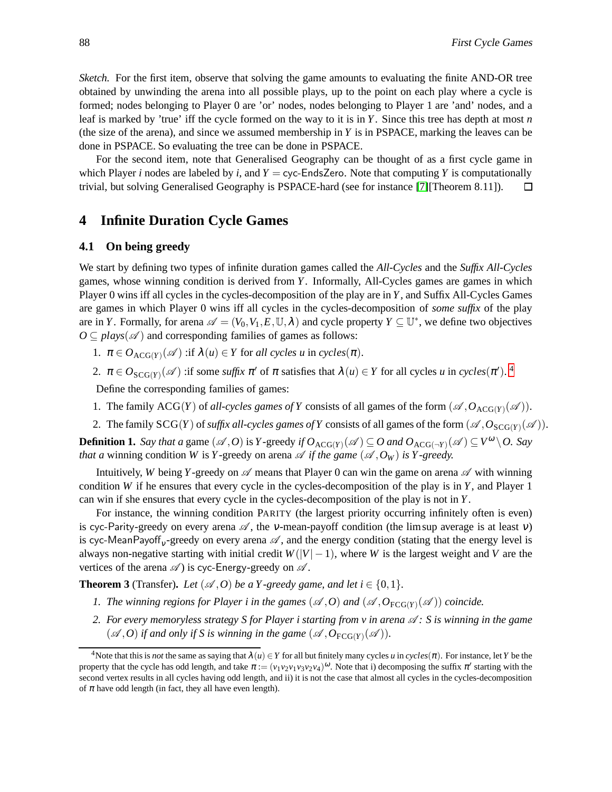*Sketch.* For the first item, observe that solving the game amounts to evaluating the finite AND-OR tree obtained by unwinding the arena into all possible plays, up to the point on each play where a cycle is formed; nodes belonging to Player 0 are 'or' nodes, nodes belonging to Player 1 are 'and' nodes, and a leaf is marked by 'true' iff the cycle formed on the way to it is in *Y*. Since this tree has depth at most *n* (the size of the arena), and since we assumed membership in *Y* is in PSPACE, marking the leaves can be done in PSPACE. So evaluating the tree can be done in PSPACE.

For the second item, note that Generalised Geography can be thought of as a first cycle game in which Player *i* nodes are labeled by *i*, and  $Y = cyc$ -EndsZero. Note that computing *Y* is computationally trivial, but solving Generalised Geography is PSPACE-hard (see for instance [\[7\]](#page-7-7)[Theorem 8.11]).  $\Box$ 

## **4 Infinite Duration Cycle Games**

### **4.1 On being greedy**

We start by defining two types of infinite duration games called the *All-Cycles* and the *Suffix All-Cycles* games, whose winning condition is derived from *Y*. Informally, All-Cycles games are games in which Player 0 wins iff all cycles in the cycles-decomposition of the play are in *Y*, and Suffix All-Cycles Games are games in which Player 0 wins iff all cycles in the cycles-decomposition of *some suffix* of the play are in *Y*. Formally, for arena  $\mathscr{A} = (V_0, V_1, E, \mathbb{U}, \lambda)$  and cycle property  $Y \subseteq \mathbb{U}^*$ , we define two objectives  $O \subseteq plays(\mathscr{A})$  and corresponding families of games as follows:

- 1.  $\pi \in O_{\text{ACG}(Y)}(\mathscr{A})$  :if  $\lambda(u) \in Y$  for *all cycles u* in *cycles*( $\pi$ ).
- 2.  $\pi \in O_{SCG(Y)}(\mathscr{A})$  :if some *suffix*  $\pi'$  of  $\pi$  satisfies that  $\lambda(u) \in Y$  for all cycles *u* in *cycles*( $\pi'$ ). <sup>[4](#page-5-0)</sup>

Define the corresponding families of games:

- 1. The family ACG(*Y*) of *all-cycles games of Y* consists of all games of the form  $(\mathcal{A}, O_{\text{ACG}(Y)}(\mathcal{A}))$ .
- 2. The family  $SCG(Y)$  of *suffix all-cycles games of* Y consists of all games of the form  $(\mathcal{A}, O_{SCG(Y)}(\mathcal{A}))$ .

**Definition 1.** *Say that a* game  $(\mathscr{A}, O)$  is *Y*-greedy *if*  $O_{\text{ACG}(Y)}(\mathscr{A}) \subseteq O$  and  $O_{\text{ACG}(\neg Y)}(\mathscr{A}) \subseteq V^{\omega} \setminus O$ . *Say that a* winning condition *W* is *Y*-greedy on arena  $\mathscr A$  *if the game* ( $\mathscr A$ ,  $O_W$ ) *is Y-greedy.* 

Intuitively, *W* being *Y*-greedy on  $\mathscr A$  means that Player 0 can win the game on arena  $\mathscr A$  with winning condition *W* if he ensures that every cycle in the cycles-decomposition of the play is in *Y*, and Player 1 can win if she ensures that every cycle in the cycles-decomposition of the play is not in *Y*.

For instance, the winning condition PARITY (the largest priority occurring infinitely often is even) is cyc-Parity-greedy on every arena  $\mathscr A$ , the v-mean-payoff condition (the limsup average is at least v) is cyc-MeanPayoff<sub>v</sub>-greedy on every arena  $\mathscr A$ , and the energy condition (stating that the energy level is always non-negative starting with initial credit  $W(|V| - 1)$ , where *W* is the largest weight and *V* are the vertices of the arena  $\mathscr A$ ) is cyc-Energy-greedy on  $\mathscr A$ .

<span id="page-5-1"></span>**Theorem 3** (Transfer). *Let*  $(\mathcal{A}, O)$  *be a Y-greedy game, and let*  $i \in \{0, 1\}$ *.* 

- *1. The winning regions for Player i in the games*  $(\mathcal{A}, O)$  *and*  $(\mathcal{A}, O_{\text{FCG}(Y)}(\mathcal{A}))$  *coincide.*
- *2. For every memoryless strategy S for Player i starting from v in arena*  $\mathcal{A}$  *: S is winning in the game*  $(\mathscr{A}, O)$  *if and only if S is winning in the game*  $(\mathscr{A}, O_{FCG(Y)}(\mathscr{A}))$ *.*

<span id="page-5-0"></span><sup>&</sup>lt;sup>4</sup>Note that this is *not* the same as saying that  $\lambda(u) \in Y$  for all but finitely many cycles *u* in *cycles*( $\pi$ ). For instance, let *Y* be the property that the cycle has odd length, and take  $\pi := (v_1v_2v_1v_3v_2v_4)^{\omega}$ . Note that i) decomposing the suffix  $\pi'$  starting with the second vertex results in all cycles having odd length, and ii) it is not the case that almost all cycles in the cycles-decomposition of  $\pi$  have odd length (in fact, they all have even length).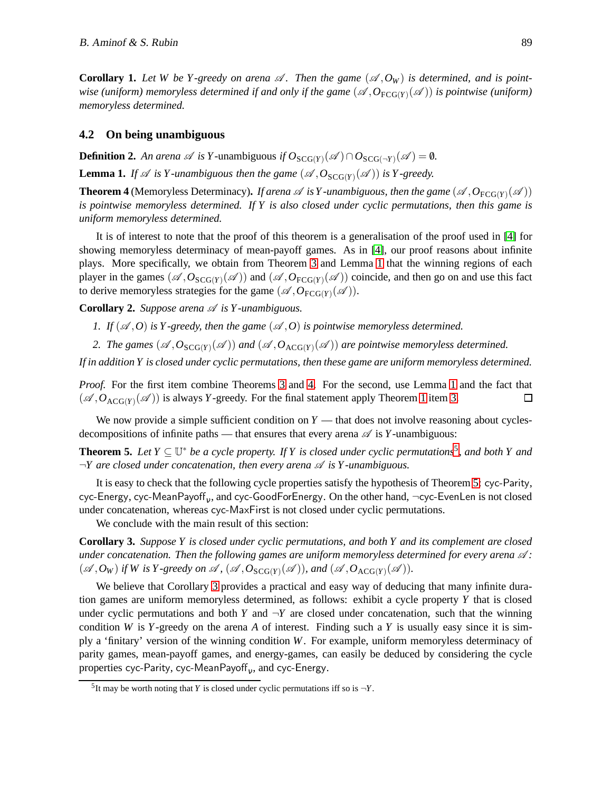**Corollary 1.** Let W be Y-greedy on arena  $\mathscr A$ . Then the game  $(\mathscr A, O_W)$  is determined, and is pointwise (uniform) memoryless determined if and only if the game  $(\mathscr{A},O_{\text{FCG}(Y)}(\mathscr{A}))$  is pointwise (uniform) *memoryless determined.*

#### **4.2 On being unambiguous**

<span id="page-6-0"></span>**Definition 2.** An arena  $\mathscr A$  is Y-unambiguous if  $O_{SCG(Y)}(\mathscr A) \cap O_{SCG(\neg Y)}(\mathscr A) = \emptyset$ .

<span id="page-6-1"></span>**Lemma 1.** If  $\mathscr A$  is Y-unambiguous then the game  $(\mathscr A, O_{SCG(Y)}(\mathscr A))$  is Y-greedy.

**Theorem 4** (Memoryless Determinacy). *If arena*  $\mathscr A$  *is Y -unambiguous, then the game*  $(\mathscr A, O_{\text{FCG}(Y)}(\mathscr A))$ *is pointwise memoryless determined. If Y is also closed under cyclic permutations, then this game is uniform memoryless determined.*

It is of interest to note that the proof of this theorem is a generalisation of the proof used in [\[4\]](#page-7-2) for showing memoryless determinacy of mean-payoff games. As in [\[4\]](#page-7-2), our proof reasons about infinite plays. More specifically, we obtain from Theorem [3](#page-5-1) and Lemma [1](#page-6-0) that the winning regions of each player in the games  $(\mathscr{A},O_{SCG(Y)}(\mathscr{A}))$  and  $(\mathscr{A},O_{FCG(Y)}(\mathscr{A}))$  coincide, and then go on and use this fact to derive memoryless strategies for the game  $(\mathscr{A}, O_{\text{FCG}(Y)}(\mathscr{A}))$ .

**Corollary 2.** *Suppose arena*  $\mathscr A$  *is Y-unambiguous.* 

- *1. If*  $(\mathcal{A}, O)$  *is Y-greedy, then the game*  $(\mathcal{A}, O)$  *is pointwise memoryless determined.*
- 2. The games  $(A, O_{SCG(Y)}(\mathscr{A}))$  and  $(A, O_{ACG(Y)}(\mathscr{A}))$  are pointwise memoryless determined.

*If in addition Y is closed under cyclic permutations, then these game are uniform memoryless determined.*

*Proof.* For the first item combine Theorems [3](#page-5-1) and [4.](#page-6-1) For the second, use Lemma [1](#page-6-0) and the fact that  $(\mathscr{A}, O_{\text{ACG}(Y)}(\mathscr{A}))$  is always *Y*-greedy. For the final statement apply Theorem [1](#page-4-1) item [3.](#page-4-2)  $\Box$ 

<span id="page-6-3"></span>We now provide a simple sufficient condition on  $Y$  — that does not involve reasoning about cyclesdecompositions of infinite paths — that ensures that every arena  $\mathscr A$  is *Y*-unambiguous:

**Theorem [5](#page-6-2).** Let  $Y \subseteq \mathbb{U}^*$  be a cycle property. If Y is closed under cyclic permutations<sup>5</sup>, and both Y and  $\neg Y$  are closed under concatenation, then every arena  $\mathscr A$  *is*  $Y$ -unambiguous.

It is easy to check that the following cycle properties satisfy the hypothesis of Theorem [5:](#page-6-3) cyc-Parity, cyc-Energy, cyc-MeanPayoff $_{\rm v}$ , and cyc-GoodForEnergy. On the other hand, ¬cyc-EvenLen is not closed under concatenation, whereas cyc-MaxFirst is not closed under cyclic permutations.

<span id="page-6-4"></span>We conclude with the main result of this section:

**Corollary 3.** *Suppose Y is closed under cyclic permutations, and both Y and its complement are closed under concatenation. Then the following games are uniform memoryless determined for every arena*  $\mathcal{A}$ *:*  $(\mathscr{A}, O_W)$  *if* W is Y-greedy on  $\mathscr{A}$ ,  $(\mathscr{A}, O_{SCG(Y)}(\mathscr{A}))$ , and  $(\mathscr{A}, O_{ACG(Y)}(\mathscr{A}))$ .

We believe that Corollary [3](#page-6-4) provides a practical and easy way of deducing that many infinite duration games are uniform memoryless determined, as follows: exhibit a cycle property *Y* that is closed under cyclic permutations and both *Y* and  $\neg Y$  are closed under concatenation, such that the winning condition *W* is *Y*-greedy on the arena *A* of interest. Finding such a *Y* is usually easy since it is simply a 'finitary' version of the winning condition *W*. For example, uniform memoryless determinacy of parity games, mean-payoff games, and energy-games, can easily be deduced by considering the cycle properties cyc-Parity, cyc-MeanPayoff $_{\rm v}$ , and cyc-Energy.

<span id="page-6-2"></span><sup>&</sup>lt;sup>5</sup>It may be worth noting that *Y* is closed under cyclic permutations iff so is  $\neg Y$ .